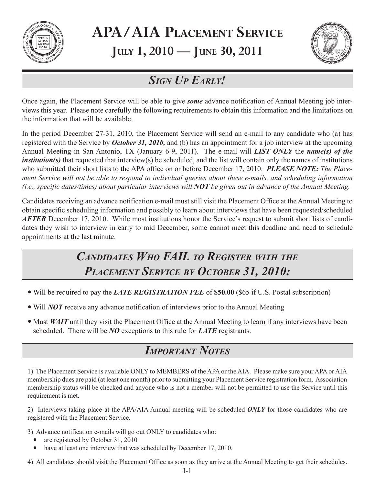

# **APA/AIA PLACEMENT SERVICE JULY 1, 2010 — JUNE 30, 2011**



# *SIGN UP EARLY!*

Once again, the Placement Service will be able to give *some* advance notification of Annual Meeting job interviews this year. Please note carefully the following requirements to obtain this information and the limitations on the information that will be available.

In the period December 27-31, 2010, the Placement Service will send an e-mail to any candidate who (a) has registered with the Service by *October 31, 2010,* and (b) has an appointment for a job interview at the upcoming Annual Meeting in San Antonio, TX (January 6-9, 2011). The e-mail will *LIST ONLY* the *name(s) of the institution(s)* that requested that interview(s) be scheduled, and the list will contain only the names of institutions who submitted their short lists to the APA office on or before December 17, 2010. *PLEASE NOTE: The Placement Service will not be able to respond to individual queries about these e-mails, and scheduling information (i.e., specific dates/times) about particular interviews will NOT be given out in advance of the Annual Meeting.*

Candidates receiving an advance notification e-mail must still visit the Placement Office at the Annual Meeting to obtain specific scheduling information and possibly to learn about interviews that have been requested/scheduled *AFTER* December 17, 2010. While most institutions honor the Service's request to submit short lists of candidates they wish to interview in early to mid December, some cannot meet this deadline and need to schedule appointments at the last minute.

# *CANDIDATES WHO FAIL TO REGISTER WITH THE PLACEMENT SERVICE BY OCTOBER 31, 2010:*

- Will be required to pay the *LATE REGISTRATION FEE* of \$50.00 (\$65 if U.S. Postal subscription)
- Will *NOT* receive any advance notification of interviews prior to the Annual Meeting
- Must *WAIT* until they visit the Placement Office at the Annual Meeting to learn if any interviews have been scheduled. There will be *NO* exceptions to this rule for *LATE* registrants.

# *IMPORTANT NOTES*

1) The Placement Service is available ONLY to MEMBERS of the APA or the AIA. Please make sure your APA or AIA membership dues are paid (at least one month) prior to submitting your Placement Service registration form. Association membership status will be checked and anyone who is not a member will not be permitted to use the Service until this requirement is met.

2) Interviews taking place at the APA/AIA Annual meeting will be scheduled *ONLY* for those candidates who are registered with the Placement Service.

3) Advance notification e-mails will go out ONLY to candidates who:

- are registered by October 31, 2010
- have at least one interview that was scheduled by December 17, 2010.

4) All candidates should visit the Placement Office as soon as they arrive at the Annual Meeting to get their schedules.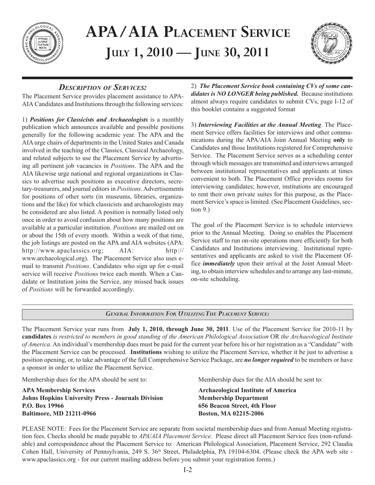

# **APA/AIA PLACEMENT SERVICE JULY 1, 2010** — **JUNE 30, 2011**



# *DESCRIPTION OF SERVICES:*

The Placement Service provides placement assistance to APA-AIA Candidates and Institutions through the following services:

1) *Positions for Classicists and Archaeologists* is a monthly publication which announces available and possible positions generally for the following academic year. The APA and the AIA urge chairs of departments in the United States and Canada involved in the teaching of the Classics, Classical Archaeology, and related subjects to use the Placement Service by advertising all pertinent job vacancies in *Positions*. The APA and the AIA likewise urge national and regional organizations in Classics to advertise such positions as executive directors, secretary-treasurers, and journal editors in *Positions*. Advertisements for positions of other sorts (in museums, libraries, organizations and the like) for which classicists and archaeologists may be considered are also listed. A position is normally listed only once in order to avoid confusion about how many positions are available at a particular institution. *Positions* are mailed out on or about the 15th of every month. Within a week of that time, the job listings are posted on the APA and AIA websites (APA: http://www.apaclassics.org; AIA: http:// www.archaeological.org). The Placement Service also uses email to transmit *Positions*. Candidates who sign up for e-mail service will receive *Positions* twice each month. When a Candidate or Institution joins the Service, any missed back issues of *Positions* will be forwarded accordingly.

2)*The Placement Service book containing CVs of some candidates is NO LONGER being published.* Because institutions almost always require candidates to submit CVs, page I-12 of this booklet contains a suggested format

3) *Interviewing Facilities at the Annual Meeting*. The Placement Service offers facilities for interviews and other communications during the APA/AIA Joint Annual Meeting **only** to Candidates and those Institutions registered for Comprehensive Service. The Placement Service serves as a scheduling center through which messages are transmitted and interviews arranged between institutional representatives and applicants at times convenient to both. The Placement Office provides rooms for interviewing candidates; however, institutions are encouraged to rent their own private suites for this purpose, as the Placement Service's space is limited. (See Placement Guidelines, section 9.)

The goal of the Placement Service is to schedule interviews prior to the Annual Meeting. Doing so enables the Placement Service staff to run on-site operations more efficiently for both Candidates and Institutions interviewing. Institutional representatives and applicants are asked to visit the Placement Office *immediately* upon their arrival at the Joint Annual Meeting, to obtain interview schedules and to arrange any last-minute, on-site scheduling.

# *GENERAL INFORMATION FOR UTILIZING THE PLACEMENT SERVICE:*

The Placement Service year runs from **July 1, 2010, through June 30, 2011**. Use of the Placement Service for 2010-11 by **candidates** *is restricted to members in good standing of the American Philological Association* OR *the Archaeological Institute of America*. An individual's membership dues must be paid for the current year before his or her registration as a "Candidate" with the Placement Service can be processed. **Institutions** wishing to utilize the Placement Service, whether it be just to advertise a position opening, or, to take advantage of the full Comprehensive Service Package, are *no longer required* to be members or have a sponsor in order to utilize the Placement Service.

Membership dues for the APA should be sent to: Membership dues for the AIA should be sent to:

**APA Membership Services** Archaeological Institute of America **Johns Hopkins University Press - Journals Division Membership Department P.O. Box 19966 656 Beacon Street, 4th Floor Baltimore, MD 21211-0966 Boston, MA 02215-2006**

PLEASE NOTE: Fees for the Placement Service are separate from societal membership dues and from Annual Meeting registration fees. Checks should be made payable to *APA/AIA Placement Service.* Please direct all Placement Service fees (non-refundable) and correspondence about the Placement Service to: American Philological Association, Placement Service, 292 Claudia Cohen Hall, University of Pennsylvania, 249 S. 36<sup>th</sup> Street, Philadelphia, PA 19104-6304. (Please check the APA web site www.apaclassics.org - for our current mailing address before you submit your registration forms.)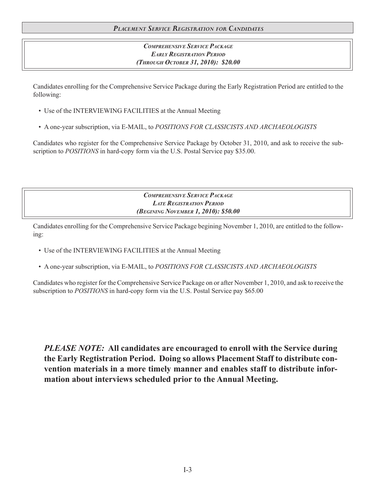# *PLACEMENT SERVICE REGISTRATION FOR CANDIDATES*

# *COMPREHENSIVE SERVICE PACKAGE EARLY REGISTRATION PERIOD (THROUGH OCTOBER 31, 2010): \$20.00*

Candidates enrolling for the Comprehensive Service Package during the Early Registration Period are entitled to the following:

- Use of the INTERVIEWING FACILITIES at the Annual Meeting
- A one-year subscription, via E-MAIL, to *POSITIONS FOR CLASSICISTS AND ARCHAEOLOGISTS*

Candidates who register for the Comprehensive Service Package by October 31, 2010, and ask to receive the subscription to *POSITIONS* in hard-copy form via the U.S. Postal Service pay \$35.00.

> *COMPREHENSIVE SERVICE PACKAGE LATE REGISTRATION PERIOD (BEGINING NOVEMBER 1, 2010): \$50.00*

Candidates enrolling for the Comprehensive Service Package begining November 1, 2010, are entitled to the following:

- Use of the INTERVIEWING FACILITIES at the Annual Meeting
- A one-year subscription, via E-MAIL, to *POSITIONS FOR CLASSICISTS AND ARCHAEOLOGISTS*

Candidates who register for the Comprehensive Service Package on or after November 1, 2010, and ask to receive the subscription to *POSITIONS* in hard-copy form via the U.S. Postal Service pay \$65.00

*PLEASE NOTE:* **All candidates are encouraged to enroll with the Service during the Early Regtistration Period. Doing so allows Placement Staff to distribute convention materials in a more timely manner and enables staff to distribute information about interviews scheduled prior to the Annual Meeting.**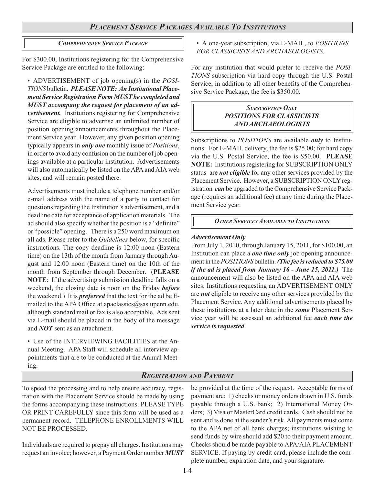# *PLACEMENT SERVICE PACKAGES AVAILABLE TO INSTITUTIONS*

# *COMPREHENSIVE SERVICE PACKAGE*

For \$300.00, Institutions registering for the Comprehensive Service Package are entitled to the following:

• ADVERTISEMENT of job opening(s) in the *POSI-TIONS* bulletin. *PLEASE NOTE: An Institutional Placement Service Registration Form MUST be completed and MUST accompany the request for placement of an advertisement.* Institutions registering for Comprehensive Service are eligible to advertise an unlimited number of position opening announcements throughout the Placement Service year. However, any given position opening typically appears in *only one* monthly issue of *Positions*, in order to avoid any confusion on the number of job openings available at a particular institution. Advertisements will also automatically be listed on the APA and AIA web sites, and will remain posted there.

Advertisements must include a telephone number and/or e-mail address with the name of a party to contact for questions regarding the Institution's advertisement, and a deadline date for acceptance of application materials. The ad should also specify whether the position is a "definite" or "possible" opening. There is a 250 word maximum on all ads. Please refer to the *Guidelines* below, for specific instructions. The copy deadline is 12:00 noon (Eastern time) on the 13th of the month from January through August and 12:00 noon (Eastern time) on the 10th of the month from September through December. (**PLEASE NOTE**: If the advertising submission deadline falls on a weekend, the closing date is noon on the Friday *before* the weekend.) It is *preferred* that the text for the ad be Emailed to the APA Office at apaclassics@sas.upenn.edu, although standard mail or fax is also acceptable. Ads sent via E-mail should be placed in the body of the message and *NOT* sent as an attachment.

• Use of the INTERVIEWING FACILITIES at the Annual Meeting. APA Staff will schedule all interview appointments that are to be conducted at the Annual Meeting.

• A one-year subscription, via E-MAIL, to *POSITIONS FOR CLASSICISTS AND ARCHAEOLOGISTS.*

For any institution that would prefer to receive the *POSI-TIONS* subscription via hard copy through the U.S. Postal Service, in addition to all other benefits of the Comprehensive Service Package, the fee is \$350.00.

## *SUBSCRIPTION ONLY POSITIONS FOR CLASSICISTS AND ARCHAEOLOGISTS*

Subscriptions to *POSITIONS* are available *only* to Institutions. For E-MAIL delivery, the fee is \$25.00; for hard copy via the U.S. Postal Service, the fee is \$50.00. **PLEASE NOTE:** Institutions registering for SUBSCRIPTION ONLY status are *not eligible* for any other services provided by the Placement Service. However, a SUBSCRIPTION ONLY registration *can* be upgraded to the Comprehensive Service Package (requires an additional fee) at any time during the Placement Service year.

*OTHER SERVICES AVAILABLE TO INSTITUTIONS*

#### *Advertisement Only*

From July 1, 2010, through January 15, 2011, for \$100.00, an Institution can place a *one time only* job opening announcement in the *POSITIONS* bulletin. *(The fee is reduced to \$75.00 if the ad is placed from January 16 - June 15, 2011.)* The announcement will also be listed on the APA and AIA web sites. Institutions requesting an ADVERTISEMENT ONLY are *not* eligible to receive any other services provided by the Placement Service. Any additional advertisements placed by these institutions at a later date in the *same* Placement Service year will be assessed an additional fee *each time the service is requested*.

# *REGISTRATION AND PAYMENT*

To speed the processing and to help ensure accuracy, registration with the Placement Service should be made by using the forms accompanying these instructions. PLEASE TYPE OR PRINT CAREFULLY since this form will be used as a permanent record. TELEPHONE ENROLLMENTS WILL NOT BE PROCESSED.

Individuals are required to prepay all charges. Institutions may request an invoice; however, a Payment Order number *MUST* be provided at the time of the request. Acceptable forms of payment are: 1) checks or money orders drawn in U.S. funds payable through a U.S. bank; 2) International Money Orders; 3) Visa or MasterCard credit cards. Cash should not be sent and is done at the sender's risk. All payments must come to the APA net of all bank charges; institutions wishing to send funds by wire should add \$20 to their payment amount. Checks should be made payable to APA/AIA PLACEMENT SERVICE. If paying by credit card, please include the complete number, expiration date, and your signature.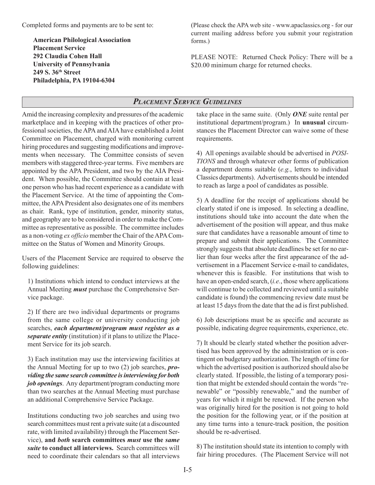Completed forms and payments are to be sent to:

**American Philological Association Placement Service 292 Claudia Cohen Hall University of Pennsylvania 249 S. 36th Street Philadelphia, PA 19104-6304**

(Please check the APA web site - www.apaclassics.org - for our current mailing address before you submit your registration forms.)

PLEASE NOTE: Returned Check Policy: There will be a \$20.00 minimum charge for returned checks.

# *PLACEMENT SERVICE GUIDELINES*

Amid the increasing complexity and pressures of the academic marketplace and in keeping with the practices of other professional societies, the APA and AIA have established a Joint Committee on Placement, charged with monitoring current hiring procedures and suggesting modifications and improvements when necessary. The Committee consists of seven members with staggered three-year terms. Five members are appointed by the APA President, and two by the AIA President. When possible, the Committee should contain at least one person who has had recent experience as a candidate with the Placement Service. At the time of appointing the Committee, the APA President also designates one of its members as chair. Rank, type of institution, gender, minority status, and geography are to be considered in order to make the Committee as representative as possible. The committee includes as a non-voting *ex officio* member the Chair of the APA Committee on the Status of Women and Minority Groups.

Users of the Placement Service are required to observe the following guidelines:

1) Institutions which intend to conduct interviews at the Annual Meeting *must* purchase the Comprehensive Service package.

2) If there are two individual departments or programs from the same college or university conducting job searches, *each department/program must register as a separate entity* (institution) if it plans to utilize the Placement Service for its job search.

3) Each institution may use the interviewing facilities at the Annual Meeting for up to two (2) job searches, *providing the same search committee is interviewing for both job openings*. Any department/program conducting more than two searches at the Annual Meeting must purchase an additional Comprehensive Service Package.

Institutions conducting two job searches and using two search committees must rent a private suite (at a discounted rate, with limited availability) through the Placement Service), **and** *both* **search committees** *must* **use the** *same suite* **to conduct all interviews.** Search committees will need to coordinate their calendars so that all interviews

take place in the same suite. (Only *ONE* suite rental per institutional department/program.) In **unusual** circumstances the Placement Director can waive some of these requirements.

4) All openings available should be advertised in *POSI-TIONS* and through whatever other forms of publication a department deems suitable (*e.g.*, letters to individual Classics departments). Advertisements should be intended to reach as large a pool of candidates as possible.

5) A deadline for the receipt of applications should be clearly stated if one is imposed. In selecting a deadline, institutions should take into account the date when the advertisement of the position will appear, and thus make sure that candidates have a reasonable amount of time to prepare and submit their applications. The Committee strongly suggests that absolute deadlines be set for no earlier than four weeks after the first appearance of the advertisement in a Placement Service e-mail to candidates, whenever this is feasible. For institutions that wish to have an open-ended search, (*i.e.*, those where applications will continue to be collected and reviewed until a suitable candidate is found) the commencing review date must be at least 15 days from the date that the ad is first published.

6) Job descriptions must be as specific and accurate as possible, indicating degree requirements, experience, etc.

7) It should be clearly stated whether the position advertised has been approved by the administration or is contingent on budgetary authorization. The length of time for which the advertised position is authorized should also be clearly stated. If possible, the listing of a temporary position that might be extended should contain the words "renewable" or "possibly renewable," and the number of years for which it might be renewed. If the person who was originally hired for the position is not going to hold the position for the following year, or if the position at any time turns into a tenure-track position, the position should be re-advertised.

8) The institution should state its intention to comply with fair hiring procedures. (The Placement Service will not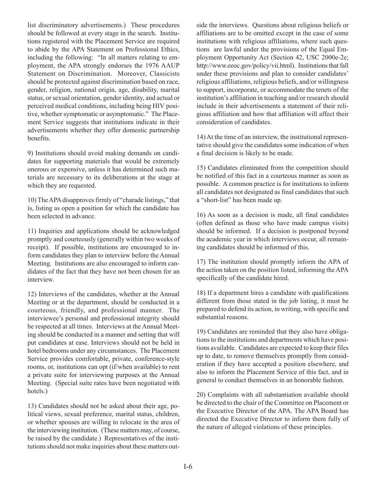list discriminatory advertisements.) These procedures should be followed at every stage in the search. Institutions registered with the Placement Service are required to abide by the APA Statement on Professional Ethics, including the following: "In all matters relating to employment, the APA strongly endorses the 1976 AAUP Statement on Discrimination. Moreover, Classicists should be protected against discrimination based on race, gender, religion, national origin, age, disability, marital status, or sexual orientation, gender identity, and actual or perceived medical conditions, including being HIV positive, whether symptomatic or asymptomatic." The Placement Service suggests that institutions indicate in their advertisements whether they offer domestic partnership benefits.

9) Institutions should avoid making demands on candidates for supporting materials that would be extremely onerous or expensive, unless it has determined such materials are necessary to its deliberations at the stage at which they are requested.

10) The APA disapproves firmly of "charade listings," that is, listing as open a position for which the candidate has been selected in advance.

11) Inquiries and applications should be acknowledged promptly and courteously (generally within two weeks of receipt). If possible, institutions are encouraged to inform candidates they plan to interview before the Annual Meeting. Institutions are also encouraged to inform candidates of the fact that they have not been chosen for an interview.

12) Interviews of the candidates, whether at the Annual Meeting or at the department, should be conducted in a courteous, friendly, and professional manner. The interviewee's personal and professional integrity should be respected at all times. Interviews at the Annual Meeting should be conducted in a manner and setting that will put candidates at ease. Interviews should not be held in hotel bedrooms under any circumstances. The Placement Service provides comfortable, private, conference-style rooms, or, institutions can opt (if/when available) to rent a private suite for interviewing purposes at the Annual Meeting. (Special suite rates have been negotiated with hotels.)

13) Candidates should not be asked about their age, political views, sexual preference, marital status, children, or whether spouses are willing to relocate in the area of the interviewing institution. (These matters may, of course, be raised by the candidate.) Representatives of the institutions should not make inquiries about these matters outside the interviews. Questions about religious beliefs or affiliations are to be omitted except in the case of some institutions with religious affiliations, where such questions are lawful under the provisions of the Equal Employment Opportunity Act (Section 42, USC 2000e-2e; http://www.eeoc.gov/policy/vii.html). Institutions that fall under these provisions and plan to consider candidates' religious affiliations, religious beliefs, and/or willingness to support, incorporate, or accommodate the tenets of the institution's affiliation in teaching and/or research should include in their advertisements a statement of their religious affiliation and how that affiliation will affect their consideration of candidates.

14) At the time of an interview, the institutional representative should give the candidates some indication of when a final decision is likely to be made.

15) Candidates eliminated from the competition should be notified of this fact in a courteous manner as soon as possible. A common practice is for institutions to inform all candidates not designated as final candidates that such a "short-list" has been made up.

16) As soon as a decision is made, all final candidates (often defined as those who have made campus visits) should be informed. If a decision is postponed beyond the academic year in which interviews occur, all remaining candidates should be informed of this.

17) The institution should promptly inform the APA of the action taken on the position listed, informing the APA specifically of the candidate hired.

18) If a department hires a candidate with qualifications different from those stated in the job listing, it must be prepared to defend its action, in writing, with specific and substantial reasons.

19) Candidates are reminded that they also have obligations to the institutions and departments which have positions available. Candidates are expected to keep their files up to date, to remove themselves promptly from consideration if they have accepted a position elsewhere, and also to inform the Placement Service of this fact, and in general to conduct themselves in an honorable fashion.

20) Complaints with all substantiation available should be directed to the chair of the Committee on Placement or the Executive Director of the APA. The APA Board has directed the Executive Director to inform them fully of the nature of alleged violations of these principles.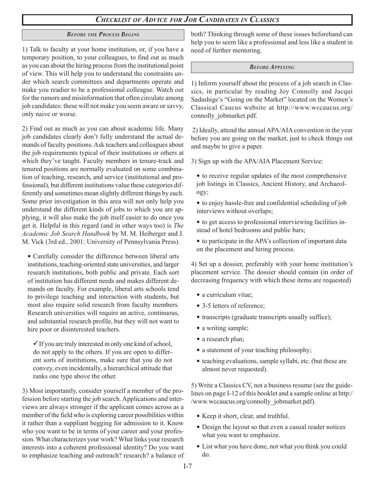# *CHECKLIST OF ADVICE FOR JOB CANDIDATES IN CLASSICS*

# *BEFORE THE PROCESS BEGINS*

1) Talk to faculty at your home institution, or, if you have a temporary position, to your colleagues, to find out as much as you can about the hiring process from the institutional point of view. This will help you to understand the constraints under which search committees and departments operate and make you readier to be a professional colleague. Watch out for the rumors and misinformation that often circulate among job candidates: these will not make you seem aware or savvy, only naive or worse.

2) Find out as much as you can about academic life. Many job candidates clearly don't fully understand the actual demands of faculty positions. Ask teachers and colleagues about the job requirements typical of their institutions or others at which they've taught. Faculty members in tenure-track and tenured positions are normally evaluated on some combination of teaching, research, and service (institutional and professional), but different institutions value these categories differently and sometimes mean slightly different things by each. Some prior investigation in this area will not only help you understand the different kinds of jobs to which you are applying, it will also make the job itself easier to do once you get it. Helpful in this regard (and in other ways too) is *The Academic Job Search Handbook* by M. M. Heiberger and J. M. Vick (3rd ed., 2001: University of Pennsylvania Press).

• Carefully consider the difference between liberal arts institutions, teaching-oriented state universities, and larger research institutions, both public and private. Each sort of institution has different needs and makes different demands on faculty. For example, liberal arts schools tend to privilege teaching and interaction with students, but most also require solid research from faculty members. Research universities will require an active, continuous, and substantial research profile, but they will not want to hire poor or disinterested teachers.

 $\checkmark$  If you are truly interested in only one kind of school, do not apply to the others. If you are open to different sorts of institutions, make sure that you do not convey, even incidentally, a hierarchical attitude that ranks one type above the other.

3) Most importantly, consider yourself a member of the profession before starting the job search. Applications and interviews are always stronger if the applicant comes across as a member of the field who is exploring career possibilities within it rather than a suppliant begging for admission to it. Know who you want to be in terms of your career and your profession. What characterizes your work? What links your research interests into a coherent professional identity? Do you want to emphasize teaching and outreach? research? a balance of both? Thinking through some of these issues beforehand can help you to seem like a professional and less like a student in need of further mentoring.

#### *BEFORE APPLYING*

1) Inform yourself about the process of a job search in Classics, in particular by reading Joy Connolly and Jacqui Sadashige's "Going on the Market" located on the Women's Classical Caucus website at http://www.wccaucus.org/ connolly jobmarket.pdf.

 2) Ideally, attend the annual APA/AIA convention in the year before you are going on the market, just to check things out and maybe to give a paper.

3) Sign up with the APA/AIA Placement Service:

- to receive regular updates of the most comprehensive job listings in Classics, Ancient History, and Archaeology;
- to enjoy hassle-free and confidential scheduling of job interviews without overlaps;
- to get access to professional interviewing facilities instead of hotel bedrooms and public bars;
- to participate in the APA's collection of important data on the placement and hiring process.

4) Set up a dossier, preferably with your home institution's placement service. The dossier should contain (in order of decreasing frequency with which these items are requested)

- a curriculum vitae;
- 3-5 letters of reference;
- transcripts (graduate transcripts usually suffice);
- a writing sample;
- a research plan;
- a statement of your teaching philosophy;
- $\bullet$  teaching evaluations, sample syllabi, etc. (but these are almost never requested).

5) Write a Classics CV, not a business resume (see the guidelines on page I-12 of this booklet and a sample online at http:/ /www.wccaucus.org/connolly\_jobmarket.pdf).

- Keep it short, clear, and truthful.
- Design the layout so that even a casual reader notices what you want to emphasize.
- List what you have done, not what you think you could do.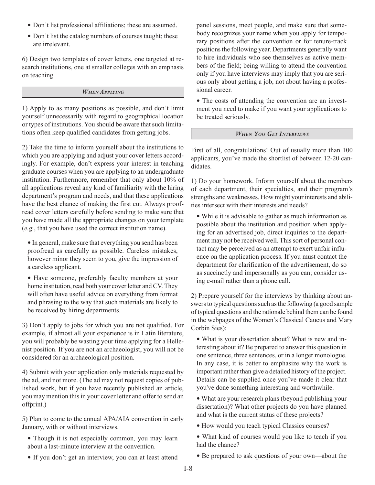- Don't list professional affiliations; these are assumed.
- Don't list the catalog numbers of courses taught; these are irrelevant.

6) Design two templates of cover letters, one targeted at research institutions, one at smaller colleges with an emphasis on teaching.

#### *WHEN APPLYING*

1) Apply to as many positions as possible, and don't limit yourself unnecessarily with regard to geographical location or types of institutions. You should be aware that such limitations often keep qualified candidates from getting jobs.

2) Take the time to inform yourself about the institutions to which you are applying and adjust your cover letters accordingly. For example, don't express your interest in teaching graduate courses when you are applying to an undergraduate institution. Furthermore, remember that only about 10% of all applications reveal any kind of familiarity with the hiring department's program and needs, and that these applications have the best chance of making the first cut. Always proofread cover letters carefully before sending to make sure that you have made all the appropriate changes on your template (*e.g.*, that you have used the correct institution name).

• In general, make sure that everything you send has been proofread as carefully as possible. Careless mistakes, however minor they seem to you, give the impression of a careless applicant.

• Have someone, preferably faculty members at your home institution, read both your cover letter and CV. They will often have useful advice on everything from format and phrasing to the way that such materials are likely to be received by hiring departments.

3) Don't apply to jobs for which you are not qualified. For example, if almost all your experience is in Latin literature, you will probably be wasting your time applying for a Hellenist position. If you are not an archaeologist, you will not be considered for an archaeological position.

4) Submit with your application only materials requested by the ad, and not more. (The ad may not request copies of published work, but if you have recently published an article, you may mention this in your cover letter and offer to send an offprint.)

5) Plan to come to the annual APA/AIA convention in early January, with or without interviews.

- Though it is not especially common, you may learn about a last-minute interview at the convention.
- If you don't get an interview, you can at least attend

panel sessions, meet people, and make sure that somebody recognizes your name when you apply for temporary positions after the convention or for tenure-track positions the following year. Departments generally want to hire individuals who see themselves as active members of the field; being willing to attend the convention only if you have interviews may imply that you are serious only about getting a job, not about having a professional career.

• The costs of attending the convention are an investment you need to make if you want your applications to be treated seriously.

## *WHEN YOU GET INTERVIEWS*

First of all, congratulations! Out of usually more than 100 applicants, you've made the shortlist of between 12-20 candidates.

1) Do your homework. Inform yourself about the members of each department, their specialties, and their program's strengths and weaknesses. How might your interests and abilities intersect with their interests and needs?

• While it is advisable to gather as much information as possible about the institution and position when applying for an advertised job, direct inquiries to the department may not be received well. This sort of personal contact may be perceived as an attempt to exert unfair influence on the application process. If you must contact the department for clarification of the advertisement, do so as succinctly and impersonally as you can; consider using e-mail rather than a phone call.

2) Prepare yourself for the interviews by thinking about answers to typical questions such as the following (a good sample of typical questions and the rationale behind them can be found in the webpages of the Women's Classical Caucus and Mary Corbin Sies):

• What is your dissertation about? What is new and interesting about it? Be prepared to answer this question in one sentence, three sentences, or in a longer monologue. In any case, it is better to emphasize why the work is important rather than give a detailed history of the project. Details can be supplied once you've made it clear that you've done something interesting and worthwhile.

• What are your research plans (beyond publishing your dissertation)? What other projects do you have planned and what is the current status of these projects?

- $\bullet$  How would you teach typical Classics courses?
- What kind of courses would you like to teach if you had the chance?
- Be prepared to ask questions of your own—about the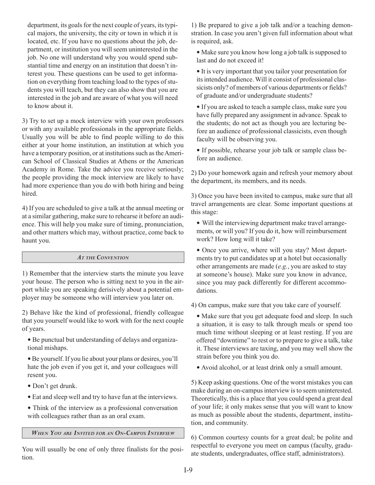department, its goals for the next couple of years, its typical majors, the university, the city or town in which it is located, etc. If you have no questions about the job, department, or institution you will seem uninterested in the job. No one will understand why you would spend substantial time and energy on an institution that doesn't interest you. These questions can be used to get information on everything from teaching load to the types of students you will teach, but they can also show that you are interested in the job and are aware of what you will need to know about it.

3) Try to set up a mock interview with your own professors or with any available professionals in the appropriate fields. Usually you will be able to find people willing to do this either at your home institution, an institution at which you have a temporary position, or at institutions such as the American School of Classical Studies at Athens or the American Academy in Rome. Take the advice you receive seriously; the people providing the mock interview are likely to have had more experience than you do with both hiring and being hired.

4) If you are scheduled to give a talk at the annual meeting or at a similar gathering, make sure to rehearse it before an audience. This will help you make sure of timing, pronunciation, and other matters which may, without practice, come back to haunt you.

#### *AT THE CONVENTION*

1) Remember that the interview starts the minute you leave your house. The person who is sitting next to you in the airport while you are speaking derisively about a potential employer may be someone who will interview you later on.

2) Behave like the kind of professional, friendly colleague that you yourself would like to work with for the next couple of years.

- Be punctual but understanding of delays and organizational mishaps.
- y Be yourself. If you lie about your plans or desires, you'll hate the job even if you get it, and your colleagues will resent you.
- Don't get drunk.
- Eat and sleep well and try to have fun at the interviews.
- Think of the interview as a professional conversation with colleagues rather than as an oral exam.

*WHEN YOU ARE INVITED FOR AN ON-CAMPUS INTERVIEW*

You will usually be one of only three finalists for the position.

1) Be prepared to give a job talk and/or a teaching demonstration. In case you aren't given full information about what is required, ask.

 $\bullet$  Make sure you know how long a job talk is supposed to last and do not exceed it!

• It is very important that you tailor your presentation for its intended audience. Will it consist of professional classicists only? of members of various departments or fields? of graduate and/or undergraduate students?

• If you are asked to teach a sample class, make sure you have fully prepared any assignment in advance. Speak to the students; do not act as though you are lecturing before an audience of professional classicists, even though faculty will be observing you.

• If possible, rehearse your job talk or sample class before an audience.

2) Do your homework again and refresh your memory about the department, its members, and its needs.

3) Once you have been invited to campus, make sure that all travel arrangements are clear. Some important questions at this stage:

• Will the interviewing department make travel arrangements, or will you? If you do it, how will reimbursement work? How long will it take?

• Once you arrive, where will you stay? Most departments try to put candidates up at a hotel but occasionally other arrangements are made (*e.g.*, you are asked to stay at someone's house). Make sure you know in advance, since you may pack differently for different accommodations.

4) On campus, make sure that you take care of yourself.

- Make sure that you get adequate food and sleep. In such a situation, it is easy to talk through meals or spend too much time without sleeping or at least resting. If you are offered "downtime" to rest or to prepare to give a talk, take it. These interviews are taxing, and you may well show the strain before you think you do.
- y Avoid alcohol, or at least drink only a small amount.

5) Keep asking questions. One of the worst mistakes you can make during an on-campus interview is to seem uninterested. Theoretically, this is a place that you could spend a great deal of your life; it only makes sense that you will want to know as much as possible about the students, department, institution, and community.

6) Common courtesy counts for a great deal; be polite and respectful to everyone you meet on campus (faculty, graduate students, undergraduates, office staff, administrators).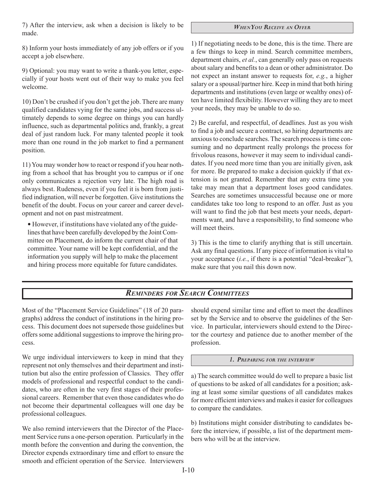7) After the interview, ask when a decision is likely to be made.

#### *WHEN YOU RECEIVE AN OFFER*

8) Inform your hosts immediately of any job offers or if you accept a job elsewhere.

9) Optional: you may want to write a thank-you letter, especially if your hosts went out of their way to make you feel welcome.

10) Don't be crushed if you don't get the job. There are many qualified candidates vying for the same jobs, and success ultimately depends to some degree on things you can hardly influence, such as departmental politics and, frankly, a great deal of just random luck. For many talented people it took more than one round in the job market to find a permanent position.

11) You may wonder how to react or respond if you hear nothing from a school that has brought you to campus or if one only communicates a rejection very late. The high road is always best. Rudeness, even if you feel it is born from justified indignation, will never be forgotten. Give institutions the benefit of the doubt. Focus on your career and career development and not on past mistreatment.

• However, if institutions have violated any of the guidelines that have been carefully developed by the Joint Committee on Placement, do inform the current chair of that committee. Your name will be kept confidential, and the information you supply will help to make the placement and hiring process more equitable for future candidates.

1) If negotiating needs to be done, this is the time. There are a few things to keep in mind. Search committee members, department chairs, *et al.*, can generally only pass on requests about salary and benefits to a dean or other administrator. Do not expect an instant answer to requests for, *e.g.*, a higher salary or a spousal/partner hire. Keep in mind that both hiring departments and institutions (even large or wealthy ones) often have limited flexibility. However willing they are to meet your needs, they may be unable to do so.

2) Be careful, and respectful, of deadlines. Just as you wish to find a job and secure a contract, so hiring departments are anxious to conclude searches. The search process is time consuming and no department really prolongs the process for frivolous reasons, however it may seem to individual candidates. If you need more time than you are initially given, ask for more. Be prepared to make a decision quickly if that extension is not granted. Remember that any extra time you take may mean that a department loses good candidates. Searches are sometimes unsuccessful because one or more candidates take too long to respond to an offer. Just as you will want to find the job that best meets your needs, departments want, and have a responsibility, to find someone who will meet theirs.

3) This is the time to clarify anything that is still uncertain. Ask any final questions. If any piece of information is vital to your acceptance (*i.e.*, if there is a potential "deal-breaker"), make sure that you nail this down now.

# *REMINDERS FOR SEARCH COMMITTEES*

Most of the "Placement Service Guidelines" (18 of 20 paragraphs) address the conduct of institutions in the hiring process. This document does not supersede those guidelines but offers some additional suggestions to improve the hiring process.

We urge individual interviewers to keep in mind that they represent not only themselves and their department and institution but also the entire profession of Classics. They offer models of professional and respectful conduct to the candidates, who are often in the very first stages of their professional careers. Remember that even those candidates who do not become their departmental colleagues will one day be professional colleagues.

We also remind interviewers that the Director of the Placement Service runs a one-person operation. Particularly in the month before the convention and during the convention, the Director expends extraordinary time and effort to ensure the smooth and efficient operation of the Service. Interviewers

should expend similar time and effort to meet the deadlines set by the Service and to observe the guidelines of the Service. In particular, interviewers should extend to the Director the courtesy and patience due to another member of the profession.

*1. PREPARING FOR THE INTERVIEW*

a) The search committee would do well to prepare a basic list of questions to be asked of all candidates for a position; asking at least some similar questions of all candidates makes for more efficient interviews and makes it easier for colleagues to compare the candidates.

b) Institutions might consider distributing to candidates before the interview, if possible, a list of the department members who will be at the interview.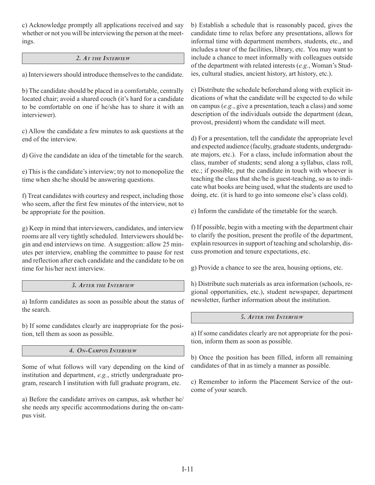c) Acknowledge promptly all applications received and say whether or not you will be interviewing the person at the meetings.

## *2. AT THE INTERVIEW*

a) Interviewers should introduce themselves to the candidate.

b) The candidate should be placed in a comfortable, centrally located chair; avoid a shared couch (it's hard for a candidate to be comfortable on one if he/she has to share it with an interviewer).

c) Allow the candidate a few minutes to ask questions at the end of the interview.

d) Give the candidate an idea of the timetable for the search.

e) This is the candidate's interview; try not to monopolize the time when she/he should be answering questions.

f) Treat candidates with courtesy and respect, including those who seem, after the first few minutes of the interview, not to be appropriate for the position.

g) Keep in mind that interviewers, candidates, and interview rooms are all very tightly scheduled. Interviewers should begin and end interviews on time. A suggestion: allow 25 minutes per interview, enabling the committee to pause for rest and reflection after each candidate and the candidate to be on time for his/her next interview.

## *3. AFTER THE INTERVIEW*

a) Inform candidates as soon as possible about the status of the search.

b) If some candidates clearly are inappropriate for the position, tell them as soon as possible.

## *4. ON-CAMPUS INTERVIEW*

Some of what follows will vary depending on the kind of institution and department, *e.g.*, strictly undergraduate program, research I institution with full graduate program, etc.

a) Before the candidate arrives on campus, ask whether he/ she needs any specific accommodations during the on-campus visit.

b) Establish a schedule that is reasonably paced, gives the candidate time to relax before any presentations, allows for informal time with department members, students, etc., and includes a tour of the facilities, library, etc. You may want to include a chance to meet informally with colleagues outside of the department with related interests (*e.g.*, Woman's Studies, cultural studies, ancient history, art history, etc.).

c) Distribute the schedule beforehand along with explicit indications of what the candidate will be expected to do while on campus (*e.g.*, give a presentation, teach a class) and some description of the individuals outside the department (dean, provost, president) whom the candidate will meet.

d) For a presentation, tell the candidate the appropriate level and expected audience (faculty, graduate students, undergraduate majors, etc.). For a class, include information about the class, number of students; send along a syllabus, class roll, etc.; if possible, put the candidate in touch with whoever is teaching the class that she/he is guest-teaching, so as to indicate what books are being used, what the students are used to doing, etc. (it is hard to go into someone else's class cold).

e) Inform the candidate of the timetable for the search.

f) If possible, begin with a meeting with the department chair to clarify the position, present the profile of the department, explain resources in support of teaching and scholarship, discuss promotion and tenure expectations, etc.

g) Provide a chance to see the area, housing options, etc.

h) Distribute such materials as area information (schools, regional opportunities, etc.), student newspaper, department newsletter, further information about the institution.

*5. AFTER THE INTERVIEW*

a) If some candidates clearly are not appropriate for the position, inform them as soon as possible.

b) Once the position has been filled, inform all remaining candidates of that in as timely a manner as possible.

c) Remember to inform the Placement Service of the outcome of your search.